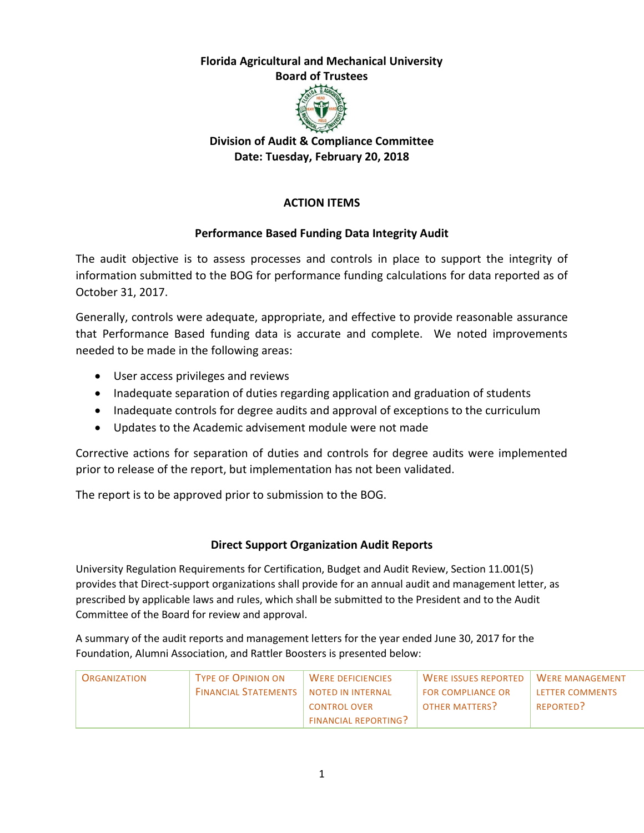# **Florida Agricultural and Mechanical University**

**Board of Trustees**



# **Division of Audit & Compliance Committee Date: Tuesday, February 20, 2018**

# **ACTION ITEMS**

## **Performance Based Funding Data Integrity Audit**

The audit objective is to assess processes and controls in place to support the integrity of information submitted to the BOG for performance funding calculations for data reported as of October 31, 2017.

Generally, controls were adequate, appropriate, and effective to provide reasonable assurance that Performance Based funding data is accurate and complete. We noted improvements needed to be made in the following areas:

- User access privileges and reviews
- Inadequate separation of duties regarding application and graduation of students
- Inadequate controls for degree audits and approval of exceptions to the curriculum
- Updates to the Academic advisement module were not made

Corrective actions for separation of duties and controls for degree audits were implemented prior to release of the report, but implementation has not been validated.

The report is to be approved prior to submission to the BOG.

## **Direct Support Organization Audit Reports**

University Regulation Requirements for Certification, Budget and Audit Review, Section 11.001(5) provides that Direct-support organizations shall provide for an annual audit and management letter, as prescribed by applicable laws and rules, which shall be submitted to the President and to the Audit Committee of the Board for review and approval.

A summary of the audit reports and management letters for the year ended June 30, 2017 for the Foundation, Alumni Association, and Rattler Boosters is presented below:

| <b>ORGANIZATION</b> | <b>TYPE OF OPINION ON</b>                       | <b>WERE DEFICIENCIES</b>    | <b>WERE ISSUES REPORTED</b> | <b>WERE MANAGEMENT</b> |
|---------------------|-------------------------------------------------|-----------------------------|-----------------------------|------------------------|
|                     | <b>FINANCIAL STATEMENTS   NOTED IN INTERNAL</b> |                             | <b>FOR COMPLIANCE OR</b>    | <b>IFTTER COMMENTS</b> |
|                     |                                                 | <b>CONTROL OVER</b>         | OTHER MATTERS?              | REPORTED?              |
|                     |                                                 | <b>FINANCIAL REPORTING?</b> |                             |                        |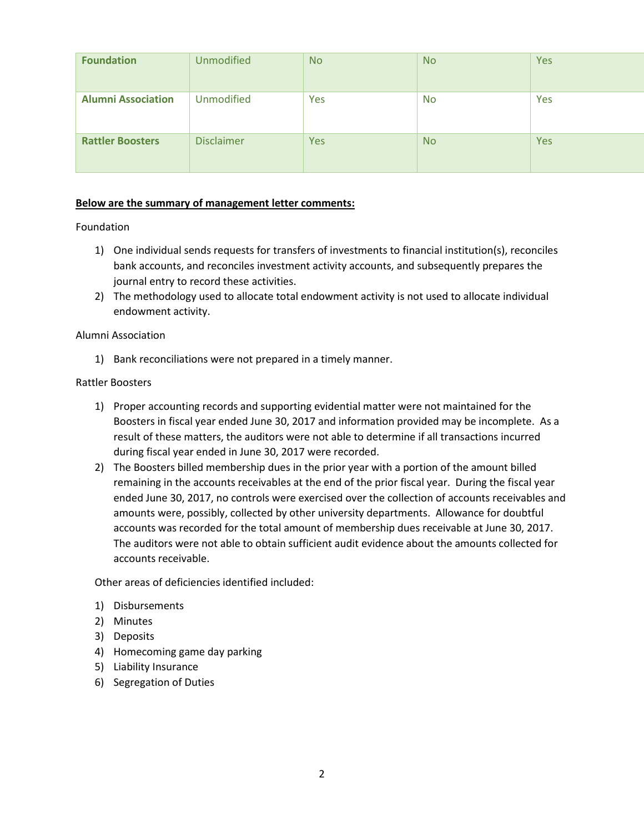| <b>Foundation</b>         | <b>Unmodified</b> | <b>No</b>  | <b>No</b> | Yes |
|---------------------------|-------------------|------------|-----------|-----|
| <b>Alumni Association</b> | <b>Unmodified</b> | Yes        | <b>No</b> | Yes |
| <b>Rattler Boosters</b>   | <b>Disclaimer</b> | <b>Yes</b> | <b>No</b> | Yes |

#### **Below are the summary of management letter comments:**

#### Foundation

- 1) One individual sends requests for transfers of investments to financial institution(s), reconciles bank accounts, and reconciles investment activity accounts, and subsequently prepares the journal entry to record these activities.
- 2) The methodology used to allocate total endowment activity is not used to allocate individual endowment activity.

#### Alumni Association

1) Bank reconciliations were not prepared in a timely manner.

#### Rattler Boosters

- 1) Proper accounting records and supporting evidential matter were not maintained for the Boosters in fiscal year ended June 30, 2017 and information provided may be incomplete. As a result of these matters, the auditors were not able to determine if all transactions incurred during fiscal year ended in June 30, 2017 were recorded.
- 2) The Boosters billed membership dues in the prior year with a portion of the amount billed remaining in the accounts receivables at the end of the prior fiscal year. During the fiscal year ended June 30, 2017, no controls were exercised over the collection of accounts receivables and amounts were, possibly, collected by other university departments. Allowance for doubtful accounts was recorded for the total amount of membership dues receivable at June 30, 2017. The auditors were not able to obtain sufficient audit evidence about the amounts collected for accounts receivable.

Other areas of deficiencies identified included:

- 1) Disbursements
- 2) Minutes
- 3) Deposits
- 4) Homecoming game day parking
- 5) Liability Insurance
- 6) Segregation of Duties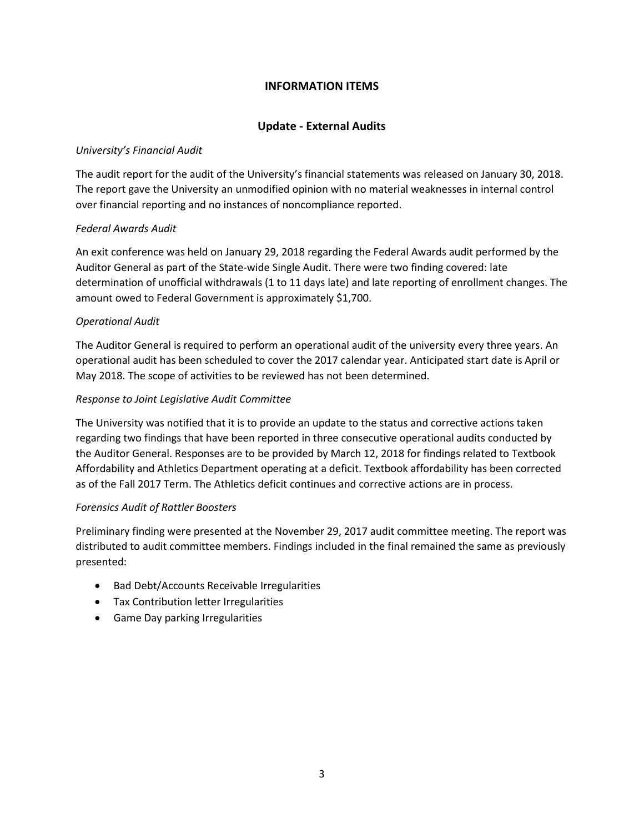## **INFORMATION ITEMS**

### **Update - External Audits**

#### *University's Financial Audit*

The audit report for the audit of the University's financial statements was released on January 30, 2018. The report gave the University an unmodified opinion with no material weaknesses in internal control over financial reporting and no instances of noncompliance reported.

### *Federal Awards Audit*

An exit conference was held on January 29, 2018 regarding the Federal Awards audit performed by the Auditor General as part of the State-wide Single Audit. There were two finding covered: late determination of unofficial withdrawals (1 to 11 days late) and late reporting of enrollment changes. The amount owed to Federal Government is approximately \$1,700.

### *Operational Audit*

The Auditor General is required to perform an operational audit of the university every three years. An operational audit has been scheduled to cover the 2017 calendar year. Anticipated start date is April or May 2018. The scope of activities to be reviewed has not been determined.

### *Response to Joint Legislative Audit Committee*

The University was notified that it is to provide an update to the status and corrective actions taken regarding two findings that have been reported in three consecutive operational audits conducted by the Auditor General. Responses are to be provided by March 12, 2018 for findings related to Textbook Affordability and Athletics Department operating at a deficit. Textbook affordability has been corrected as of the Fall 2017 Term. The Athletics deficit continues and corrective actions are in process.

#### *Forensics Audit of Rattler Boosters*

Preliminary finding were presented at the November 29, 2017 audit committee meeting. The report was distributed to audit committee members. Findings included in the final remained the same as previously presented:

- Bad Debt/Accounts Receivable Irregularities
- Tax Contribution letter Irregularities
- Game Day parking Irregularities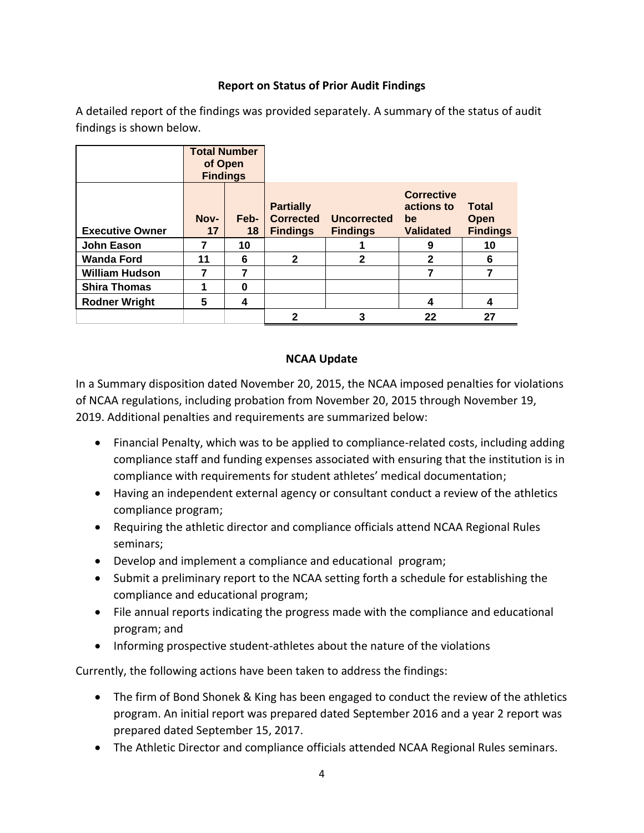## **Report on Status of Prior Audit Findings**

A detailed report of the findings was provided separately. A summary of the status of audit findings is shown below.

|                        | <b>Total Number</b><br>of Open<br><b>Findings</b> |            |                                                         |                                |                                                           |                                                |
|------------------------|---------------------------------------------------|------------|---------------------------------------------------------|--------------------------------|-----------------------------------------------------------|------------------------------------------------|
| <b>Executive Owner</b> | Nov-<br>17                                        | Feb-<br>18 | <b>Partially</b><br><b>Corrected</b><br><b>Findings</b> | Uncorrected<br><b>Findings</b> | <b>Corrective</b><br>actions to<br>be<br><b>Validated</b> | <b>Total</b><br><b>Open</b><br><b>Findings</b> |
| <b>John Eason</b>      | 7                                                 | 10         |                                                         |                                | 9                                                         | 10                                             |
| <b>Wanda Ford</b>      | 11                                                | 6          | $\mathbf{2}$                                            | 2                              | $\mathbf{2}$                                              | 6                                              |
| <b>William Hudson</b>  | 7                                                 | 7          |                                                         |                                | 7                                                         | 7                                              |
| <b>Shira Thomas</b>    |                                                   | 0          |                                                         |                                |                                                           |                                                |
| <b>Rodner Wright</b>   | 5                                                 | 4          |                                                         |                                | 4                                                         | 4                                              |
|                        |                                                   |            | 2                                                       | 3                              | 22                                                        | 27                                             |

## **NCAA Update**

In a Summary disposition dated November 20, 2015, the NCAA imposed penalties for violations of NCAA regulations, including probation from November 20, 2015 through November 19, 2019. Additional penalties and requirements are summarized below:

- Financial Penalty, which was to be applied to compliance-related costs, including adding compliance staff and funding expenses associated with ensuring that the institution is in compliance with requirements for student athletes' medical documentation;
- Having an independent external agency or consultant conduct a review of the athletics compliance program;
- Requiring the athletic director and compliance officials attend NCAA Regional Rules seminars;
- Develop and implement a compliance and educational program;
- Submit a preliminary report to the NCAA setting forth a schedule for establishing the compliance and educational program;
- File annual reports indicating the progress made with the compliance and educational program; and
- Informing prospective student-athletes about the nature of the violations

Currently, the following actions have been taken to address the findings:

- The firm of Bond Shonek & King has been engaged to conduct the review of the athletics program. An initial report was prepared dated September 2016 and a year 2 report was prepared dated September 15, 2017.
- The Athletic Director and compliance officials attended NCAA Regional Rules seminars.